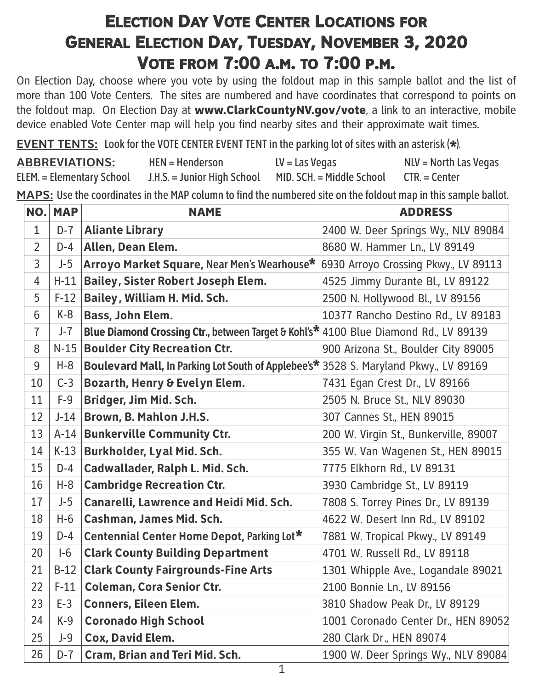## **ELECTION DAY VOTE CENTER L[OCATIONS](http://) FOR GENERAL ELECTION DAY, TUESDAY, N[OVEMBER](http://) [3, 2020](http://) VOTE FROM [7:00](http://) A.M. TO 7:00 P.M.**

On Election Day, choose where you vote by using the foldout map in this sample ballot and the list of more than 100 Vote Centers. The sites are numbered and have coordinates that correspond to points on the foldout map. On Election Day at www.ClarkCountyNV.gov/vote, a link to an interactive, mobile device enabled Vote Center map will help you find nearby sites and their approximate wait times.

**EVENT TENTS:** Look for the VOTE CENTER EVENT TENT in the parking lot of sites with an asterisk (\*).<br>A RRBEVIATIONS: Hertly Hardersen

| <b>ABBREVIATIONS:</b>            | $HEN = Henderson$           | $LV =$ Las Vegas                        | NLV = North Las Vegas |
|----------------------------------|-----------------------------|-----------------------------------------|-----------------------|
| <b>ELEM.</b> = Elementary School | J.H.S. = Junior High School | MID. SCH. = Middle School CTR. = Center |                       |

**MAPS:** Use the coordinates in the MAP column to find the numbered site on the foldout map in this sample ballot.

| NO.            | <b>MAP</b> | <b>NAME</b>                                                                          | <b>ADDRESS</b>                        |
|----------------|------------|--------------------------------------------------------------------------------------|---------------------------------------|
| $\mathbf{1}$   | $D-7$      | <b>Aliante Library</b>                                                               | 2400 W. Deer Springs Wy., NLV 89084   |
| $\overline{2}$ | $D-4$      | Allen, Dean Elem.                                                                    | 8680 W. Hammer Ln., LV 89149          |
| $\overline{3}$ | $J-5$      | Arroyo Market Square, Near Men's Wearhouse*                                          | 6930 Arroyo Crossing Pkwy., LV 89113  |
| $\overline{4}$ | $H-11$     | <b>Bailey, Sister Robert Joseph Elem.</b>                                            | 4525 Jimmy Durante Bl., LV 89122      |
| 5              | $F-12$     | <b>Bailey, William H. Mid. Sch.</b>                                                  | 2500 N. Hollywood Bl., LV 89156       |
| 6              | $K-8$      | <b>Bass, John Elem.</b>                                                              | 10377 Rancho Destino Rd., LV 89183    |
| $\overline{1}$ | $J-7$      | Blue Diamond Crossing Ctr., between Target & Kohl's* 4100 Blue Diamond Rd., LV 89139 |                                       |
| 8              | $N-15$     | <b>Boulder City Recreation Ctr.</b>                                                  | 900 Arizona St., Boulder City 89005   |
| 9              | $H-8$      | Boulevard Mall, In Parking Lot South of Applebee's* 3528 S. Maryland Pkwy., LV 89169 |                                       |
| 10             | $C-3$      | <b>Bozarth, Henry &amp; Evelyn Elem.</b>                                             | 7431 Egan Crest Dr., LV 89166         |
| 11             | $F-9$      | Bridger, Jim Mid. Sch.                                                               | 2505 N. Bruce St., NLV 89030          |
| 12             | $J-14$     | Brown, B. Mahlon J.H.S.                                                              | 307 Cannes St., HEN 89015             |
| 13             | $A-14$     | <b>Bunkerville Community Ctr.</b>                                                    | 200 W. Virgin St., Bunkerville, 89007 |
| 14             | $K-13$     | Burkholder, Lyal Mid. Sch.                                                           | 355 W. Van Wagenen St., HEN 89015     |
| 15             | $D-4$      | Cadwallader, Ralph L. Mid. Sch.                                                      | 7775 Elkhorn Rd., LV 89131            |
| 16             | $H-8$      | <b>Cambridge Recreation Ctr.</b>                                                     | 3930 Cambridge St., LV 89119          |
| 17             | $J-5$      | Canarelli, Lawrence and Heidi Mid. Sch.                                              | 7808 S. Torrey Pines Dr., LV 89139    |
| 18             | $H-6$      | Cashman, James Mid. Sch.                                                             | 4622 W. Desert Inn Rd., LV 89102      |
| 19             | $D-4$      | Centennial Center Home Depot, Parking Lot*                                           | 7881 W. Tropical Pkwy., LV 89149      |
| 20             | $I-6$      | <b>Clark County Building Department</b>                                              | 4701 W. Russell Rd., LV 89118         |
| 21             | $B-12$     | <b>Clark County Fairgrounds-Fine Arts</b>                                            | 1301 Whipple Ave., Logandale 89021    |
| 22             | $F-11$     | <b>Coleman, Cora Senior Ctr.</b>                                                     | 2100 Bonnie Ln., LV 89156             |
| 23             | $E-3$      | <b>Conners, Eileen Elem.</b>                                                         | 3810 Shadow Peak Dr., LV 89129        |
| 24             | $K-9$      | <b>Coronado High School</b>                                                          | 1001 Coronado Center Dr., HEN 89052   |
| 25             | $J-9$      | Cox, David Elem.                                                                     | 280 Clark Dr., HEN 89074              |
| 26             | $D-7$      | Cram, Brian and Teri Mid. Sch.                                                       | 1900 W. Deer Springs Wy., NLV 89084   |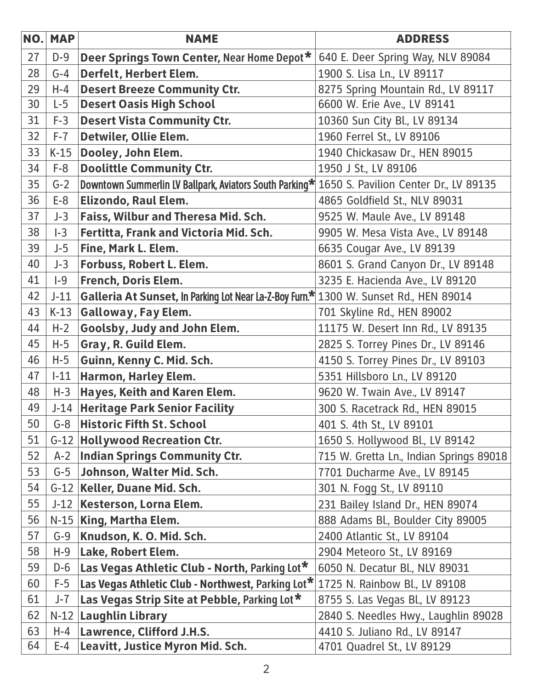| NO. | <b>MAP</b> | <b>NAME</b>                                                                                   | <b>ADDRESS</b>                          |
|-----|------------|-----------------------------------------------------------------------------------------------|-----------------------------------------|
| 27  | $D-9$      | Deer Springs Town Center, Near Home Depot*                                                    | 640 E. Deer Spring Way, NLV 89084       |
| 28  | $G-4$      | Derfelt, Herbert Elem.                                                                        | 1900 S. Lisa Ln., LV 89117              |
| 29  | $H-4$      | <b>Desert Breeze Community Ctr.</b>                                                           | 8275 Spring Mountain Rd., LV 89117      |
| 30  | $L-5$      | <b>Desert Oasis High School</b>                                                               | 6600 W. Erie Ave., LV 89141             |
| 31  | $F-3$      | <b>Desert Vista Community Ctr.</b>                                                            | 10360 Sun City Bl., LV 89134            |
| 32  | $F-7$      | Detwiler, Ollie Elem.                                                                         | 1960 Ferrel St., LV 89106               |
| 33  | $K-15$     | Dooley, John Elem.                                                                            | 1940 Chickasaw Dr., HEN 89015           |
| 34  | $F-8$      | <b>Doolittle Community Ctr.</b>                                                               | 1950 J St., LV 89106                    |
| 35  | $G-2$      | Downtown Summerlin LV Ballpark, Aviators South Parking* 1650 S. Pavilion Center Dr., LV 89135 |                                         |
| 36  | $E-8$      | <b>Elizondo, Raul Elem.</b>                                                                   | 4865 Goldfield St., NLV 89031           |
| 37  | $J-3$      | Faiss, Wilbur and Theresa Mid. Sch.                                                           | 9525 W. Maule Ave., LV 89148            |
| 38  | $I-3$      | Fertitta, Frank and Victoria Mid. Sch.                                                        | 9905 W. Mesa Vista Ave., LV 89148       |
| 39  | $J-5$      | Fine, Mark L. Elem.                                                                           | 6635 Cougar Ave., LV 89139              |
| 40  | $J-3$      | <b>Forbuss, Robert L. Elem.</b>                                                               | 8601 S. Grand Canyon Dr., LV 89148      |
| 41  | $ -9$      | French, Doris Elem.                                                                           | 3235 E. Hacienda Ave., LV 89120         |
| 42  | $J-11$     | Galleria At Sunset, In Parking Lot Near La-Z-Boy Furn.* 1300 W. Sunset Rd., HEN 89014         |                                         |
| 43  | $K-13$     | <b>Galloway, Fay Elem.</b>                                                                    | 701 Skyline Rd., HEN 89002              |
| 44  | $H-2$      | Goolsby, Judy and John Elem.                                                                  | 11175 W. Desert Inn Rd., LV 89135       |
| 45  | $H-5$      | Gray, R. Guild Elem.                                                                          | 2825 S. Torrey Pines Dr., LV 89146      |
| 46  | $H-5$      | Guinn, Kenny C. Mid. Sch.                                                                     | 4150 S. Torrey Pines Dr., LV 89103      |
| 47  | $-11$      | Harmon, Harley Elem.                                                                          | 5351 Hillsboro Ln., LV 89120            |
| 48  | $H-3$      | Hayes, Keith and Karen Elem.                                                                  | 9620 W. Twain Ave., LV 89147            |
| 49  | $J-14$     | <b>Heritage Park Senior Facility</b>                                                          | 300 S. Racetrack Rd., HEN 89015         |
| 50  | $G-8$      | <b>Historic Fifth St. School</b>                                                              | 401 S. 4th St., LV 89101                |
| 51  |            | G-12 Hollywood Recreation Ctr.                                                                | 1650 S. Hollywood Bl., LV 89142         |
| 52  | $A-2$      | <b>Indian Springs Community Ctr.</b>                                                          | 715 W. Gretta Ln., Indian Springs 89018 |
| 53  | $G-5$      | Johnson, Walter Mid. Sch.                                                                     | 7701 Ducharme Ave., LV 89145            |
| 54  |            | G-12 Keller, Duane Mid. Sch.                                                                  | 301 N. Fogg St., LV 89110               |
| 55  | $J-12$     | Kesterson, Lorna Elem.                                                                        | 231 Bailey Island Dr., HEN 89074        |
| 56  |            | N-15 King, Martha Elem.                                                                       | 888 Adams Bl., Boulder City 89005       |
| 57  | $G-9$      | Knudson, K. O. Mid. Sch.                                                                      | 2400 Atlantic St., LV 89104             |
| 58  | $H-9$      | Lake, Robert Elem.                                                                            | 2904 Meteoro St., LV 89169              |
| 59  | $D-6$      | Las Vegas Athletic Club - North, Parking Lot*                                                 | 6050 N. Decatur Bl., NLV 89031          |
| 60  | $F-5$      | Las Vegas Athletic Club - Northwest, Parking Lot*                                             | 1725 N. Rainbow Bl., LV 89108           |
| 61  | $J-7$      | Las Vegas Strip Site at Pebble, Parking Lot*                                                  | 8755 S. Las Vegas Bl., LV 89123         |
| 62  | $N-12$     | <b>Laughlin Library</b>                                                                       | 2840 S. Needles Hwy., Laughlin 89028    |
| 63  | $H-4$      | Lawrence, Clifford J.H.S.                                                                     | 4410 S. Juliano Rd., LV 89147           |
| 64  | E-4        | Leavitt, Justice Myron Mid. Sch.                                                              | 4701 Quadrel St., LV 89129              |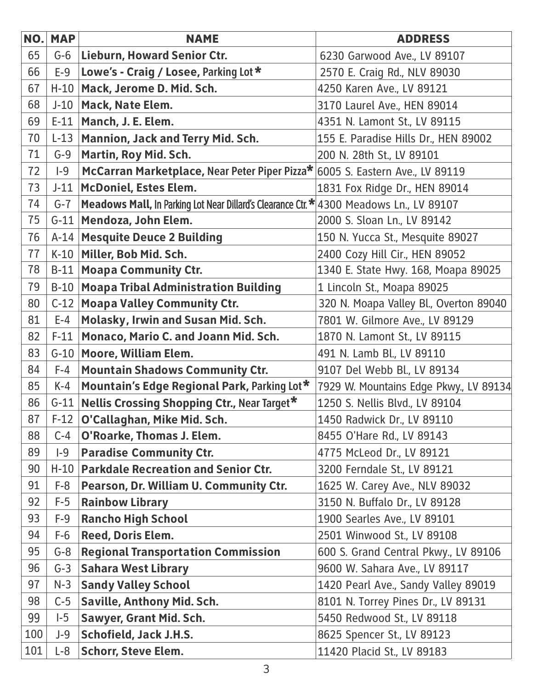| NO. | <b>MAP</b> | <b>NAME</b>                                                                             | <b>ADDRESS</b>                         |
|-----|------------|-----------------------------------------------------------------------------------------|----------------------------------------|
| 65  | $G-6$      | <b>Lieburn, Howard Senior Ctr.</b>                                                      | 6230 Garwood Ave., LV 89107            |
| 66  | $E-9$      | Lowe's - Craig / Losee, Parking Lot *                                                   | 2570 E. Craig Rd., NLV 89030           |
| 67  | $H-10$     | Mack, Jerome D. Mid. Sch.                                                               | 4250 Karen Ave., LV 89121              |
| 68  | $J-10$     | Mack, Nate Elem.                                                                        | 3170 Laurel Ave., HEN 89014            |
| 69  | $E-11$     | Manch, J. E. Elem.                                                                      | 4351 N. Lamont St., LV 89115           |
| 70  | $L-13$     | Mannion, Jack and Terry Mid. Sch.                                                       | 155 E. Paradise Hills Dr., HEN 89002   |
| 71  | $G-9$      | Martin, Roy Mid. Sch.                                                                   | 200 N. 28th St., LV 89101              |
| 72  | $ -9$      | McCarran Marketplace, Near Peter Piper Pizza* 6005 S. Eastern Ave., LV 89119            |                                        |
| 73  | $J-11$     | <b>McDoniel, Estes Elem.</b>                                                            | 1831 Fox Ridge Dr., HEN 89014          |
| 74  | $G - 7$    | Meadows Mall, In Parking Lot Near Dillard's Clearance Ctr. * 4300 Meadows Ln., LV 89107 |                                        |
| 75  | $G-11$     | Mendoza, John Elem.                                                                     | 2000 S. Sloan Ln., LV 89142            |
| 76  | $A-14$     | <b>Mesquite Deuce 2 Building</b>                                                        | 150 N. Yucca St., Mesquite 89027       |
| 77  | $K-10$     | Miller, Bob Mid. Sch.                                                                   | 2400 Cozy Hill Cir., HEN 89052         |
| 78  | $B-11$     | <b>Moapa Community Ctr.</b>                                                             | 1340 E. State Hwy. 168, Moapa 89025    |
| 79  | $B-10$     | <b>Moapa Tribal Administration Building</b>                                             | 1 Lincoln St., Moapa 89025             |
| 80  | $C-12$     | <b>Moapa Valley Community Ctr.</b>                                                      | 320 N. Moapa Valley Bl., Overton 89040 |
| 81  | $E-4$      | Molasky, Irwin and Susan Mid. Sch.                                                      | 7801 W. Gilmore Ave., LV 89129         |
| 82  | $F-11$     | Monaco, Mario C. and Joann Mid. Sch.                                                    | 1870 N. Lamont St., LV 89115           |
| 83  | $G-10$     | Moore, William Elem.                                                                    | 491 N. Lamb Bl., LV 89110              |
| 84  | $F-4$      | <b>Mountain Shadows Community Ctr.</b>                                                  | 9107 Del Webb Bl., LV 89134            |
| 85  | $K-4$      | Mountain's Edge Regional Park, Parking Lot*                                             | 7929 W. Mountains Edge Pkwy., LV 89134 |
| 86  | $G-11$     | <b>Nellis Crossing Shopping Ctr., Near Target*</b>                                      | 1250 S. Nellis Blvd., LV 89104         |
| 87  |            | F-12   O'Callaghan, Mike Mid. Sch.                                                      | 1450 Radwick Dr., LV 89110             |
| 88  | $C-4$      | O'Roarke, Thomas J. Elem.                                                               | 8455 O'Hare Rd., LV 89143              |
| 89  | $ -9$      | <b>Paradise Community Ctr.</b>                                                          | 4775 McLeod Dr., LV 89121              |
| 90  | $H-10$     | <b>Parkdale Recreation and Senior Ctr.</b>                                              | 3200 Ferndale St., LV 89121            |
| 91  | $F-8$      | Pearson, Dr. William U. Community Ctr.                                                  | 1625 W. Carey Ave., NLV 89032          |
| 92  | $F-5$      | <b>Rainbow Library</b>                                                                  | 3150 N. Buffalo Dr., LV 89128          |
| 93  | $F-9$      | <b>Rancho High School</b>                                                               | 1900 Searles Ave., LV 89101            |
| 94  | $F-6$      | <b>Reed, Doris Elem.</b>                                                                | 2501 Winwood St., LV 89108             |
| 95  | $G-8$      | <b>Regional Transportation Commission</b>                                               | 600 S. Grand Central Pkwy., LV 89106   |
| 96  | $G-3$      | <b>Sahara West Library</b>                                                              | 9600 W. Sahara Ave., LV 89117          |
| 97  | $N-3$      | <b>Sandy Valley School</b>                                                              | 1420 Pearl Ave., Sandy Valley 89019    |
| 98  | $C-5$      | <b>Saville, Anthony Mid. Sch.</b>                                                       | 8101 N. Torrey Pines Dr., LV 89131     |
| 99  | $I-5$      | Sawyer, Grant Mid. Sch.                                                                 | 5450 Redwood St., LV 89118             |
| 100 | $J-9$      | <b>Schofield, Jack J.H.S.</b>                                                           | 8625 Spencer St., LV 89123             |
| 101 | $L-8$      | <b>Schorr, Steve Elem.</b>                                                              | 11420 Placid St., LV 89183             |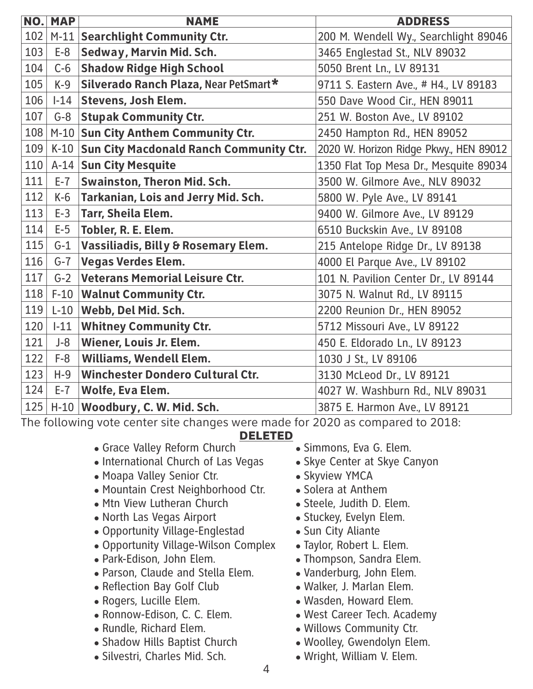|     | <b>NO. MAP</b> | <b>NAME</b>                                  | <b>ADDRESS</b>                         |
|-----|----------------|----------------------------------------------|----------------------------------------|
| 102 |                | M-11 Searchlight Community Ctr.              | 200 M. Wendell Wy., Searchlight 89046  |
| 103 | $E-8$          | Sedway, Marvin Mid. Sch.                     | 3465 Englestad St., NLV 89032          |
| 104 | $C-6$          | <b>Shadow Ridge High School</b>              | 5050 Brent Ln., LV 89131               |
| 105 | $K-9$          | Silverado Ranch Plaza, Near PetSmart*        | 9711 S. Eastern Ave., # H4., LV 89183  |
| 106 | $-14$          | <b>Stevens, Josh Elem.</b>                   | 550 Dave Wood Cir., HEN 89011          |
| 107 |                | <b>G-8 Stupak Community Ctr.</b>             | 251 W. Boston Ave., LV 89102           |
| 108 |                | M-10 Sun City Anthem Community Ctr.          | 2450 Hampton Rd., HEN 89052            |
| 109 |                | K-10 Sun City Macdonald Ranch Community Ctr. | 2020 W. Horizon Ridge Pkwy., HEN 89012 |
| 110 |                | A-14 Sun City Mesquite                       | 1350 Flat Top Mesa Dr., Mesquite 89034 |
| 111 | $E-7$          | <b>Swainston, Theron Mid. Sch.</b>           | 3500 W. Gilmore Ave., NLV 89032        |
| 112 | $K-6$          | Tarkanian, Lois and Jerry Mid. Sch.          | 5800 W. Pyle Ave., LV 89141            |
| 113 | $E-3$          | Tarr, Sheila Elem.                           | 9400 W. Gilmore Ave., LV 89129         |
| 114 | $E-5$          | Tobler, R. E. Elem.                          | 6510 Buckskin Ave., LV 89108           |
| 115 | $G-1$          | Vassiliadis, Billy & Rosemary Elem.          | 215 Antelope Ridge Dr., LV 89138       |
| 116 | $G-7$          | <b>Vegas Verdes Elem.</b>                    | 4000 El Parque Ave., LV 89102          |
| 117 | $G-2$          | <b>Veterans Memorial Leisure Ctr.</b>        | 101 N. Pavilion Center Dr., LV 89144   |
| 118 | $F-10$         | <b>Walnut Community Ctr.</b>                 | 3075 N. Walnut Rd., LV 89115           |
| 119 | $L-10$         | Webb, Del Mid. Sch.                          | 2200 Reunion Dr., HEN 89052            |
| 120 | $1-11$         | <b>Whitney Community Ctr.</b>                | 5712 Missouri Ave., LV 89122           |
| 121 | $J-8$          | Wiener, Louis Jr. Elem.                      | 450 E. Eldorado Ln., LV 89123          |
| 122 | $F-8$          | <b>Williams, Wendell Elem.</b>               | 1030 J St., LV 89106                   |
| 123 | $H-9$          | <b>Winchester Dondero Cultural Ctr.</b>      | 3130 McLeod Dr., LV 89121              |
| 124 | $E-7$          | Wolfe, Eva Elem.                             | 4027 W. Washburn Rd., NLV 89031        |
| 125 |                | H-10 Woodbury, C. W. Mid. Sch.               | 3875 E. Harmon Ave., LV 89121          |

The following vote center site changes were made for 2020 as compared to 2018:

## DELETED

- Grace Valley Reform Church
- International Church of Las Vegas
- Moapa Valley Senior Ctr.
- Mountain Crest Neighborhood Ctr.
- Mtn View Lutheran Church
- North Las Vegas Airport
- Opportunity Village-Englestad
- Opportunity Village-Wilson Complex
- Park-Edison, John Elem.
- Parson, Claude and Stella Elem.
- Reflection Bay Golf Club
- Rogers, Lucille Elem.
- Ronnow-Edison, C. C. Elem.
- Rundle, Richard Elem.
- Shadow Hills Baptist Church
- Silvestri, Charles Mid. Sch.
- Simmons, Eva G. Elem.
- Skye Center at Skye Canyon
- Skyview YMCA
- Solera at Anthem
- Steele, Judith D. Elem.
- Stuckey, Evelyn Elem.
- Sun City Aliante
- Taylor, Robert L. Elem.
- Thompson, Sandra Elem.
- Vanderburg, John Elem.
- Walker, J. Marlan Elem.
- Wasden, Howard Elem.
- West Career Tech. Academy
- Willows Community Ctr.
- Woolley, Gwendolyn Elem.
- Wright, William V. Elem.